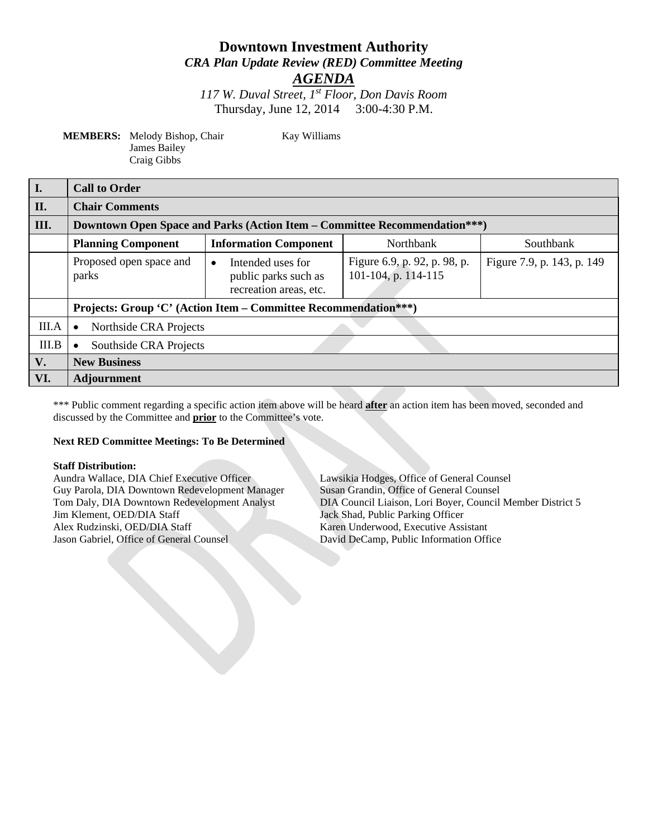# **Downtown Investment Authority** *CRA Plan Update Review (RED) Committee Meeting*

*AGENDA*

*117 W. Duval Street, 1st Floor, Don Davis Room* Thursday, June 12, 2014 3:00-4:30 P.M.

**MEMBERS:** Melody Bishop, Chair Kay Williams James Bailey Craig Gibbs

| $\vert$ I. | <b>Call to Order</b>                                                             |                                                                                  |                                                     |                            |
|------------|----------------------------------------------------------------------------------|----------------------------------------------------------------------------------|-----------------------------------------------------|----------------------------|
| II.        | <b>Chair Comments</b>                                                            |                                                                                  |                                                     |                            |
| III.       | <b>Downtown Open Space and Parks (Action Item – Committee Recommendation***)</b> |                                                                                  |                                                     |                            |
|            | <b>Planning Component</b>                                                        | <b>Information Component</b>                                                     | Northbank                                           | Southbank                  |
|            | Proposed open space and<br>parks                                                 | Intended uses for<br>$\bullet$<br>public parks such as<br>recreation areas, etc. | Figure 6.9, p. 92, p. 98, p.<br>101-104, p. 114-115 | Figure 7.9, p. 143, p. 149 |
|            | Projects: Group 'C' (Action Item – Committee Recommendation***)                  |                                                                                  |                                                     |                            |
| III.A      | Northside CRA Projects<br>$\bullet$                                              |                                                                                  |                                                     |                            |
| III.B      | Southside CRA Projects<br>$\bullet$                                              |                                                                                  |                                                     |                            |
| V.         | <b>New Business</b>                                                              |                                                                                  |                                                     |                            |
| VI.        | <b>Adjournment</b>                                                               |                                                                                  |                                                     |                            |

\*\*\* Public comment regarding a specific action item above will be heard **after** an action item has been moved, seconded and discussed by the Committee and **prior** to the Committee's vote.

#### **Next RED Committee Meetings: To Be Determined**

**Staff Distribution:** Guy Parola, DIA Downtown Redevelopment Manager Jim Klement, OED/DIA Staff Jack Shad, Public Parking Officer Alex Rudzinski, OED/DIA Staff Karen Underwood, Executive Assistant Jason Gabriel, Office of General Counsel David DeCamp, Public Information Office

Lawsikia Hodges, Office of General Counsel<br>Susan Grandin, Office of General Counsel Tom Daly, DIA Downtown Redevelopment Analyst DIA Council Liaison, Lori Boyer, Council Member District 5